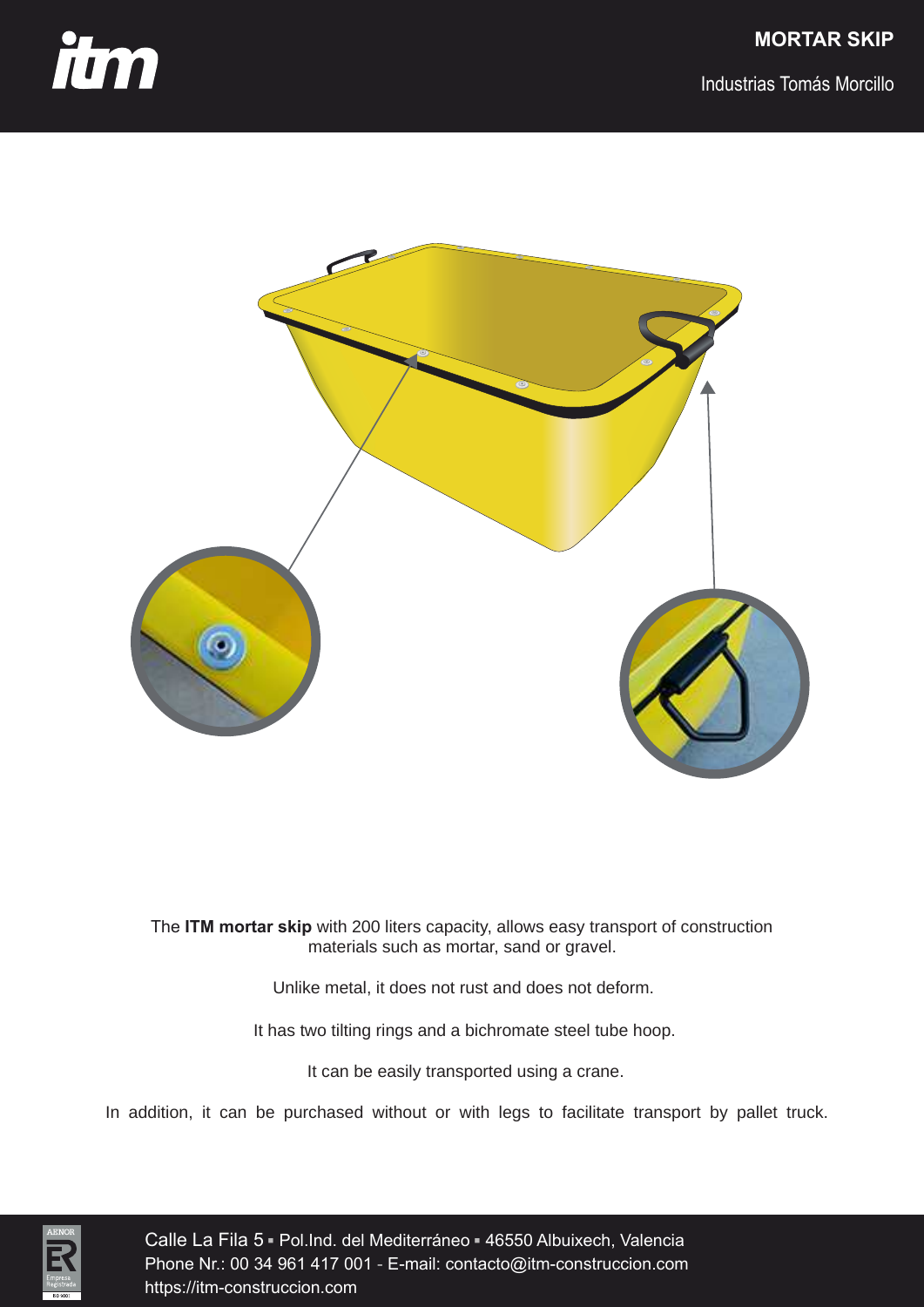

Industrias Tomás Morcillo



The **ITM mortar skip** with 200 liters capacity, allows easy transport of construction materials such as mortar, sand or gravel.

Unlike metal, it does not rust and does not deform.

It has two tilting rings and a bichromate steel tube hoop.

It can be easily transported using a crane.

In addition, it can be purchased without or with legs to facilitate transport by pallet truck.



Calle La Fila 5 <del>-</del> Pol.Ind. del Mediterráneo <del>-</del> 46550 Albuixech, Valencia<br>Phone Nr : 00 34 961 417 001 - F-mail: contacto@itm-construccion com Phone Nr.: 00 34 961 417 001 - E-mail: contacto@itm-construccion.com https://itm-construccion.com